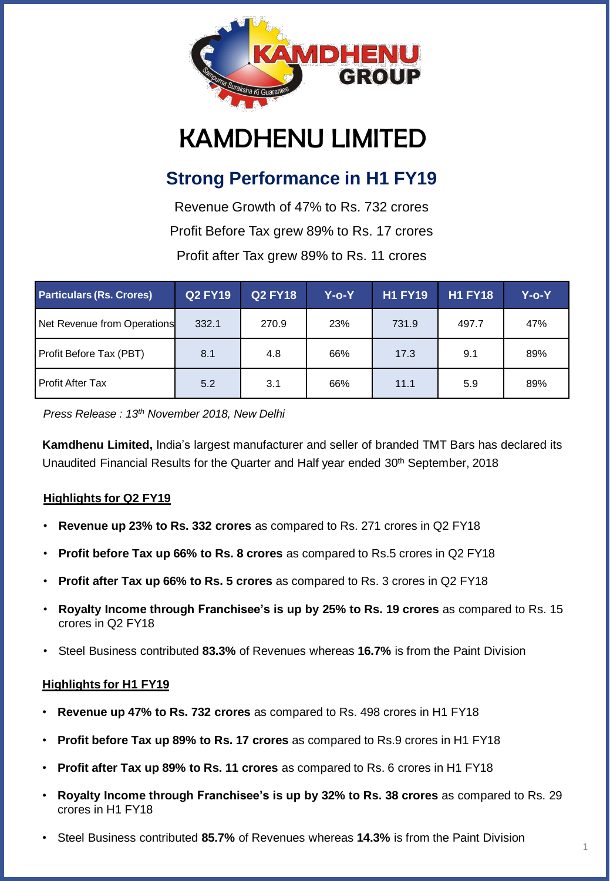

# KAMDHENU LIMITED

# **Strong Performance in H1 FY19**

Revenue Growth of 47% to Rs. 732 crores Profit Before Tax grew 89% to Rs. 17 crores Profit after Tax grew 89% to Rs. 11 crores

| <b>Particulars (Rs. Crores)</b> | Q2 FY19 | <b>Q2 FY18</b> | Y-o-Y | <b>H1 FY19</b> | <b>H1 FY18</b> | Y-o-Y |
|---------------------------------|---------|----------------|-------|----------------|----------------|-------|
| Net Revenue from Operations     | 332.1   | 270.9          | 23%   | 731.9          | 497.7          | 47%   |
| Profit Before Tax (PBT)         | 8.1     | 4.8            | 66%   | 17.3           | 9.1            | 89%   |
| Profit After Tax                | 5.2     | 3.1            | 66%   | 11.1           | 5.9            | 89%   |

*Press Release : 13th November 2018, New Delhi*

**Kamdhenu Limited,** India's largest manufacturer and seller of branded TMT Bars has declared its Unaudited Financial Results for the Quarter and Half year ended 30<sup>th</sup> September, 2018

### **Highlights for Q2 FY19**

- **Revenue up 23% to Rs. 332 crores** as compared to Rs. 271 crores in Q2 FY18
- **Profit before Tax up 66% to Rs. 8 crores** as compared to Rs.5 crores in Q2 FY18
- **Profit after Tax up 66% to Rs. 5 crores** as compared to Rs. 3 crores in Q2 FY18
- **Royalty Income through Franchisee's is up by 25% to Rs. 19 crores** as compared to Rs. 15 crores in Q2 FY18
- Steel Business contributed **83.3%** of Revenues whereas **16.7%** is from the Paint Division

#### **Highlights for H1 FY19**

- **Revenue up 47% to Rs. 732 crores** as compared to Rs. 498 crores in H1 FY18
- **Profit before Tax up 89% to Rs. 17 crores** as compared to Rs.9 crores in H1 FY18
- **Profit after Tax up 89% to Rs. 11 crores** as compared to Rs. 6 crores in H1 FY18
- **Royalty Income through Franchisee's is up by 32% to Rs. 38 crores** as compared to Rs. 29 crores in H1 FY18
- Steel Business contributed **85.7%** of Revenues whereas **14.3%** is from the Paint Division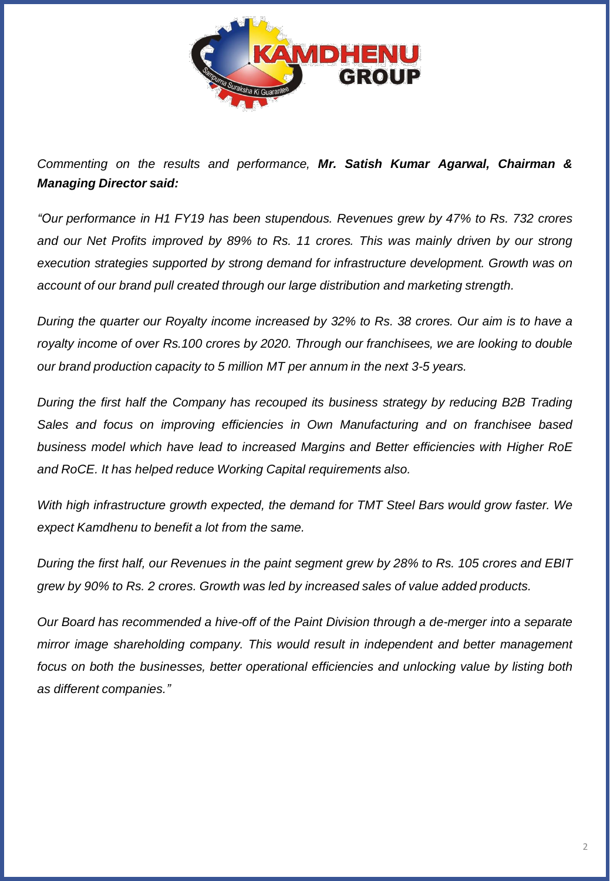

*Commenting on the results and performance, Mr. Satish Kumar Agarwal, Chairman & Managing Director said:*

*"Our performance in H1 FY19 has been stupendous. Revenues grew by 47% to Rs. 732 crores and our Net Profits improved by 89% to Rs. 11 crores. This was mainly driven by our strong execution strategies supported by strong demand for infrastructure development. Growth was on account of our brand pull created through our large distribution and marketing strength.*

During the quarter our Royalty income increased by 32% to Rs. 38 crores. Our aim is to have a *royalty income of over Rs.100 crores by 2020. Through our franchisees, we are looking to double our brand production capacity to 5 million MT per annum in the next 3-5 years.*

*During the first half the Company has recouped its business strategy by reducing B2B Trading Sales and focus on improving efficiencies in Own Manufacturing and on franchisee based business model which have lead to increased Margins and Better efficiencies with Higher RoE and RoCE. It has helped reduce Working Capital requirements also.*

*With high infrastructure growth expected, the demand for TMT Steel Bars would grow faster. We expect Kamdhenu to benefit a lot from the same.*

During the first half, our Revenues in the paint segment grew by 28% to Rs. 105 crores and EBIT *grew by 90% to Rs. 2 crores. Growth was led by increased sales of value added products.*

*Our Board has recommended a hive-off of the Paint Division through a de-merger into a separate mirror image shareholding company. This would result in independent and better management focus on both the businesses, better operational efficiencies and unlocking value by listing both as different companies."*